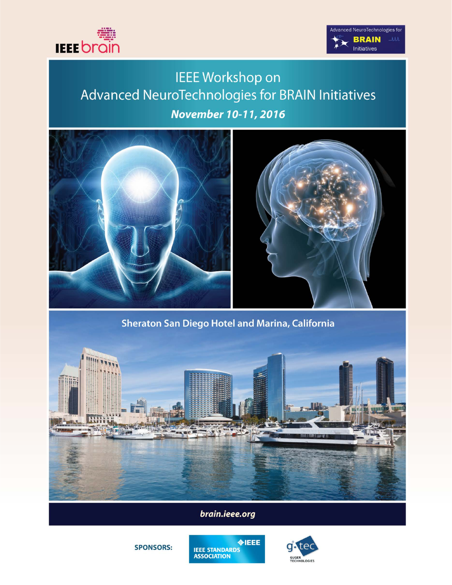



# **IEEE Workshop on** Advanced NeuroTechnologies for BRAIN Initiatives November 10-11, 2016





Sheraton San Diego Hotel and Marina, California



brain.ieee.org





**SPONSORS:**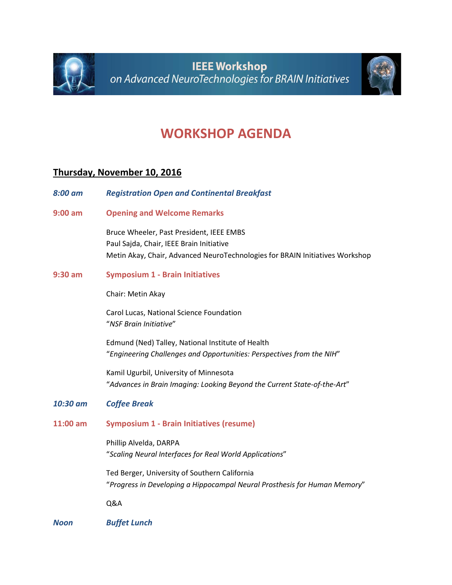



## **WORKSHOP AGENDA**

### **Thursday, November 10, 2016**

| 8:00 am   | <b>Registration Open and Continental Breakfast</b>                                                                                                                   |
|-----------|----------------------------------------------------------------------------------------------------------------------------------------------------------------------|
| $9:00$ am | <b>Opening and Welcome Remarks</b>                                                                                                                                   |
|           | Bruce Wheeler, Past President, IEEE EMBS<br>Paul Sajda, Chair, IEEE Brain Initiative<br>Metin Akay, Chair, Advanced NeuroTechnologies for BRAIN Initiatives Workshop |
| $9:30$ am | <b>Symposium 1 - Brain Initiatives</b>                                                                                                                               |
|           | Chair: Metin Akay                                                                                                                                                    |
|           | Carol Lucas, National Science Foundation<br>"NSF Brain Initiative"                                                                                                   |
|           | Edmund (Ned) Talley, National Institute of Health<br>"Engineering Challenges and Opportunities: Perspectives from the NIH"                                           |
|           | Kamil Ugurbil, University of Minnesota<br>"Advances in Brain Imaging: Looking Beyond the Current State-of-the-Art"                                                   |
| 10:30 am  | <b>Coffee Break</b>                                                                                                                                                  |
| 11:00 am  | <b>Symposium 1 - Brain Initiatives (resume)</b>                                                                                                                      |
|           | Phillip Alvelda, DARPA<br>"Scaling Neural Interfaces for Real World Applications"                                                                                    |
|           | Ted Berger, University of Southern California<br>"Progress in Developing a Hippocampal Neural Prosthesis for Human Memory"                                           |
|           | Q&A                                                                                                                                                                  |
| Noon      | <b>Buffet Lunch</b>                                                                                                                                                  |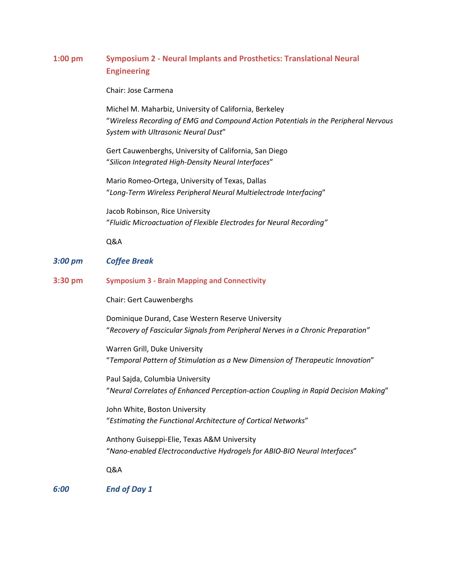### **1:00 pm Symposium 2 - Neural Implants and Prosthetics: Translational Neural Engineering**

Chair: Jose Carmena

Michel M. Maharbiz, University of California, Berkeley "*Wireless Recording of EMG and Compound Action Potentials in the Peripheral Nervous System with Ultrasonic Neural Dust*"

Gert Cauwenberghs, University of California, San Diego "*Silicon Integrated High-Density Neural Interfaces*"

Mario Romeo-Ortega, University of Texas, Dallas "*Long-Term Wireless Peripheral Neural Multielectrode Interfacing*"

Jacob Robinson, Rice University "*Fluidic Microactuation of Flexible Electrodes for Neural Recording"*

Q&A

#### *3:00 pm Coffee Break*

**3:30 pm Symposium 3 - Brain Mapping and Connectivity**

Chair: Gert Cauwenberghs

Dominique Durand, Case Western Reserve University "*Recovery of Fascicular Signals from Peripheral Nerves in a Chronic Preparation"*

Warren Grill, Duke University "*Temporal Pattern of Stimulation as a New Dimension of Therapeutic Innovation*"

Paul Sajda, Columbia University "*Neural Correlates of Enhanced Perception-action Coupling in Rapid Decision Making*"

John White, Boston University "*Estimating the Functional Architecture of Cortical Networks*"

Anthony Guiseppi-Elie, Texas A&M University "*Nano-enabled Electroconductive Hydrogels for ABIO-BIO Neural Interfaces*"

Q&A

*6:00 End of Day 1*